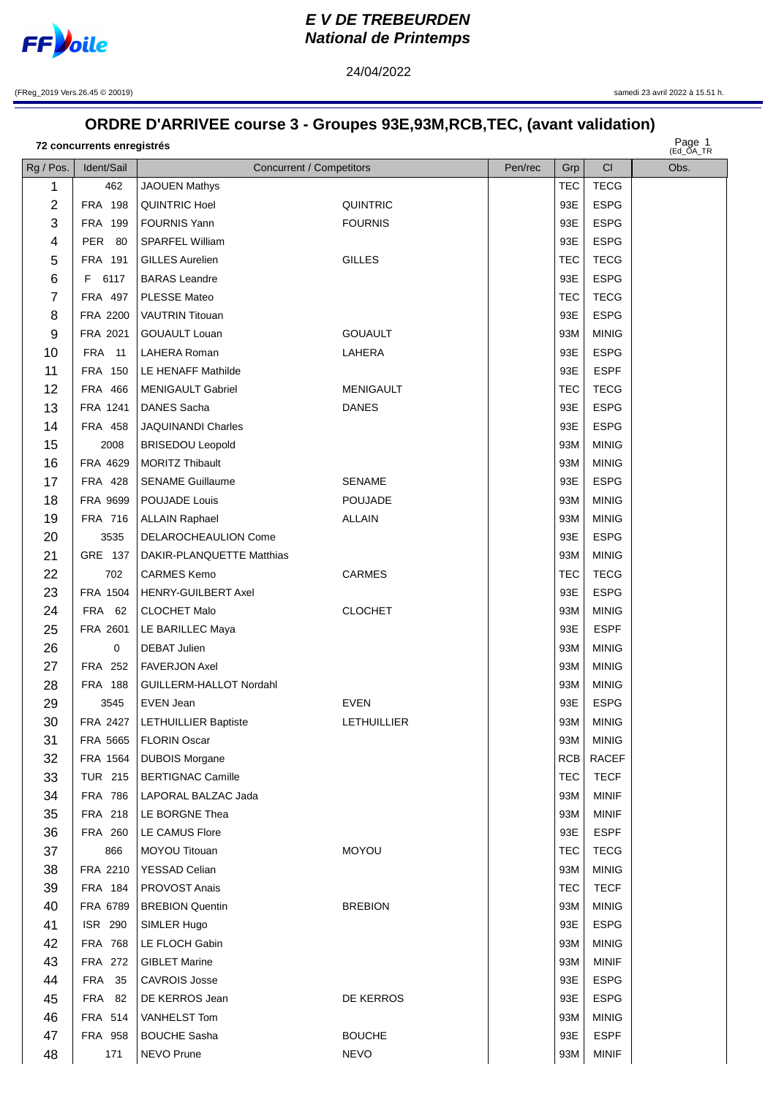

## **EV DE TREBEURDEN National de Printemps**

24/04/2022

(FReg\_2019 Vers.26.45 © 20019)

samedi 23 avril 2022 à 15.51 h.

## ORDRE D'ARRIVEE course 3 - Groupes 93E,93M,RCB,TEC, (avant validation)

72 concurrents enregistrés

Page 1<br>(Ed OA TR

| Rg / Pos. | Ident/Sail     | <b>Concurrent / Competitors</b> |                    | Pen/rec | Grp        | CI           | $Lu_$ $n_1$<br>Obs. |
|-----------|----------------|---------------------------------|--------------------|---------|------------|--------------|---------------------|
| 1         | 462            | <b>JAOUEN Mathys</b>            |                    |         | <b>TEC</b> | <b>TECG</b>  |                     |
| 2         | <b>FRA 198</b> | QUINTRIC Hoel                   | QUINTRIC           |         | 93E        | <b>ESPG</b>  |                     |
| 3         | FRA 199        | <b>FOURNIS Yann</b>             | <b>FOURNIS</b>     |         | 93E        | <b>ESPG</b>  |                     |
| 4         | <b>PER 80</b>  | SPARFEL William                 |                    |         | 93E        | <b>ESPG</b>  |                     |
| 5         | FRA 191        | <b>GILLES Aurelien</b>          | <b>GILLES</b>      |         | <b>TEC</b> | <b>TECG</b>  |                     |
| 6         | F.<br>6117     | <b>BARAS</b> Leandre            |                    |         | 93E        | <b>ESPG</b>  |                     |
| 7         | FRA 497        | <b>PLESSE Mateo</b>             |                    |         | TEC        | <b>TECG</b>  |                     |
| 8         | FRA 2200       | <b>VAUTRIN Titouan</b>          |                    |         | 93E        | <b>ESPG</b>  |                     |
| 9         | FRA 2021       | <b>GOUAULT Louan</b>            | <b>GOUAULT</b>     |         | 93M        | <b>MINIG</b> |                     |
| 10        | <b>FRA</b> 11  | LAHERA Roman                    | LAHERA             |         | 93E        | <b>ESPG</b>  |                     |
| 11        | <b>FRA 150</b> | LE HENAFF Mathilde              |                    |         | 93E        | <b>ESPF</b>  |                     |
| 12        | <b>FRA 466</b> | <b>MENIGAULT Gabriel</b>        | <b>MENIGAULT</b>   |         | <b>TEC</b> | <b>TECG</b>  |                     |
| 13        | FRA 1241       | <b>DANES Sacha</b>              | <b>DANES</b>       |         | 93E        | <b>ESPG</b>  |                     |
| 14        | FRA 458        | <b>JAQUINANDI Charles</b>       |                    |         | 93E        | <b>ESPG</b>  |                     |
| 15        | 2008           | <b>BRISEDOU Leopold</b>         |                    |         | 93M        | <b>MINIG</b> |                     |
| 16        | FRA 4629       | <b>MORITZ Thibault</b>          |                    |         | 93M        | <b>MINIG</b> |                     |
| 17        | FRA 428        | <b>SENAME Guillaume</b>         | <b>SENAME</b>      |         | 93E        | <b>ESPG</b>  |                     |
| 18        | FRA 9699       | POUJADE Louis                   | <b>POUJADE</b>     |         | 93M        | <b>MINIG</b> |                     |
| 19        | FRA 716        | <b>ALLAIN Raphael</b>           | <b>ALLAIN</b>      |         | 93M        | <b>MINIG</b> |                     |
| 20        | 3535           | DELAROCHEAULION Come            |                    |         | 93E        | <b>ESPG</b>  |                     |
| 21        | GRE 137        | DAKIR-PLANQUETTE Matthias       |                    |         | 93M        | <b>MINIG</b> |                     |
| 22        | 702            | <b>CARMES Kemo</b>              | <b>CARMES</b>      |         | <b>TEC</b> | <b>TECG</b>  |                     |
| 23        | FRA 1504       | <b>HENRY-GUILBERT Axel</b>      |                    |         | 93E        | <b>ESPG</b>  |                     |
| 24        | FRA 62         | <b>CLOCHET Malo</b>             | <b>CLOCHET</b>     |         | 93M        | <b>MINIG</b> |                     |
| 25        | FRA 2601       | LE BARILLEC Maya                |                    |         | 93E        | <b>ESPF</b>  |                     |
| 26        | $\mathbf 0$    | <b>DEBAT Julien</b>             |                    |         | 93M        | <b>MINIG</b> |                     |
| 27        | <b>FRA 252</b> | <b>FAVERJON Axel</b>            |                    |         | 93M        | <b>MINIG</b> |                     |
| 28        | <b>FRA 188</b> | GUILLERM-HALLOT Nordahl         |                    |         | 93M        | <b>MINIG</b> |                     |
| 29        | 3545           | EVEN Jean                       | EVEN               |         | 93E        | <b>ESPG</b>  |                     |
| 30        |                | FRA 2427   LETHUILLIER Baptiste | <b>LETHUILLIER</b> |         | 93M        | <b>MINIG</b> |                     |
| 31        | FRA 5665       | FLORIN Oscar                    |                    |         | 93M        | <b>MINIG</b> |                     |
| 32        | FRA 1564       | <b>DUBOIS Morgane</b>           |                    |         | <b>RCB</b> | <b>RACEF</b> |                     |
| 33        | <b>TUR 215</b> | <b>BERTIGNAC Camille</b>        |                    |         | <b>TEC</b> | <b>TECF</b>  |                     |
| 34        | <b>FRA 786</b> | LAPORAL BALZAC Jada             |                    |         | 93M        | <b>MINIF</b> |                     |
| 35        | FRA 218        | LE BORGNE Thea                  |                    |         | 93M        | <b>MINIF</b> |                     |
| 36        | FRA 260        | LE CAMUS Flore                  |                    |         | 93E        | <b>ESPF</b>  |                     |
| 37        | 866            | MOYOU Titouan                   | <b>MOYOU</b>       |         | <b>TEC</b> | <b>TECG</b>  |                     |
| 38        | FRA 2210       | <b>YESSAD Celian</b>            |                    |         | 93M        | <b>MINIG</b> |                     |
| 39        | <b>FRA 184</b> | <b>PROVOST Anais</b>            |                    |         | <b>TEC</b> | <b>TECF</b>  |                     |
| 40        | FRA 6789       | <b>BREBION Quentin</b>          | <b>BREBION</b>     |         | 93M        | <b>MINIG</b> |                     |
| 41        | <b>ISR 290</b> | SIMLER Hugo                     |                    |         | 93E        | <b>ESPG</b>  |                     |
| 42        | <b>FRA 768</b> | LE FLOCH Gabin                  |                    |         | 93M        | <b>MINIG</b> |                     |
| 43        | <b>FRA 272</b> | <b>GIBLET Marine</b>            |                    |         | 93M        | MINIF        |                     |
| 44        | <b>FRA 35</b>  | <b>CAVROIS Josse</b>            |                    |         | 93E        | <b>ESPG</b>  |                     |
| 45        | <b>FRA 82</b>  | DE KERROS Jean                  | DE KERROS          |         | 93E        | <b>ESPG</b>  |                     |
| 46        | FRA 514        | VANHELST Tom                    |                    |         | 93M        | <b>MINIG</b> |                     |
| 47        | <b>FRA 958</b> | <b>BOUCHE Sasha</b>             | <b>BOUCHE</b>      |         | 93E        | <b>ESPF</b>  |                     |
| 48        | 171            | NEVO Prune                      | <b>NEVO</b>        |         | 93M        | <b>MINIF</b> |                     |